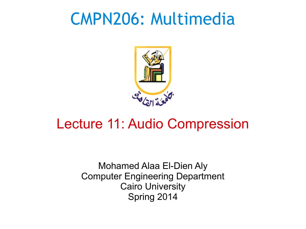#### CMPN206: Multimedia



#### Lecture 11: Audio Compression

Mohamed Alaa El-Dien Aly Computer Engineering Department Cairo University Spring 2014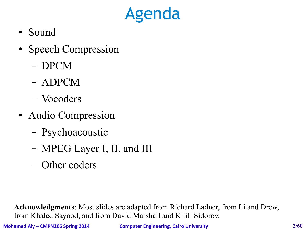# Agenda

- Sound
- Speech Compression
	- DPCM
	- ADPCM
	- Vocoders
- Audio Compression
	- Psychoacoustic
	- MPEG Layer I, II, and III
	- Other coders

**Acknowledgments**: Most slides are adapted from Richard Ladner, from Li and Drew, from Khaled Sayood, and from David Marshall and Kirill Sidorov.

**Mohamed Aly – CMPN206 Spring 2014 Computer Engineering, Cairo University 2/60**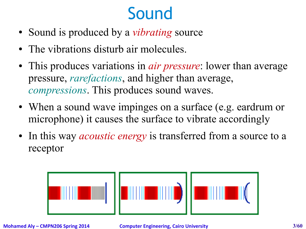# Sound

- Sound is produced by a *vibrating* source
- The vibrations disturb air molecules.
- This produces variations in *air pressure*: lower than average pressure, *rarefactions*, and higher than average, *compressions*. This produces sound waves.
- When a sound wave impinges on a surface (e.g. eardrum or microphone) it causes the surface to vibrate accordingly
- In this way *acoustic energy* is transferred from a source to a receptor



**Mohamed Aly – CMPN206 Spring 2014 Computer Engineering, Cairo University 3/60**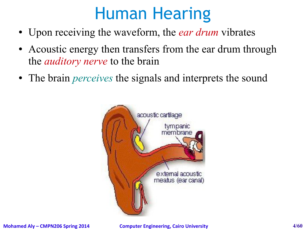#### Human Hearing

- Upon receiving the waveform, the *ear drum* vibrates
- Acoustic energy then transfers from the ear drum through the *auditory nerve* to the brain
- The brain *perceives* the signals and interprets the sound

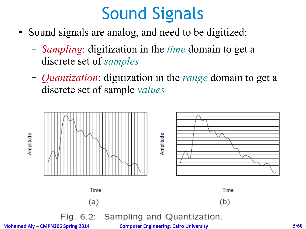# Sound Signals

- Sound signals are analog, and need to be digitized:
	- *Sampling*: digitization in the *time* domain to get a discrete set of *samples*
	- *Quantization*: digitization in the *range* domain to get a discrete set of sample *values*



**Mohamed Aly – CMPN206 Spring 2014 Computer Engineering, Cairo University 5/60**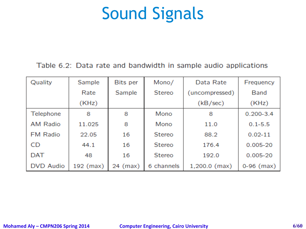#### Sound Signals

#### Table 6.2: Data rate and bandwidth in sample audio applications

| Quality          | Sample    | Bits per | Mono/         | Data Rate       | Frequency     |
|------------------|-----------|----------|---------------|-----------------|---------------|
|                  | Rate      | Sample   | Stereo        | (uncompressed)  | Band          |
|                  | (KHz)     |          |               | (KB/sec)        | (KHz)         |
| Telephone        | 8         | 8        | Mono          | 8               | $0.200 - 3.4$ |
| <b>AM Radio</b>  | 11.025    | 8        | Mono          | 11.0            | $0.1 - 5.5$   |
| <b>FM Radio</b>  | 22.05     | 16       | <b>Stereo</b> | 88.2            | $0.02 - 11$   |
| CD               | 44.1      | 16       | <b>Stereo</b> | 176.4           | $0.005 - 20$  |
| <b>DAT</b>       | 48        | 16       | Stereo        | 192.0           | $0.005 - 20$  |
| <b>DVD Audio</b> | 192 (max) | 24 (max) | 6 channels    | $1,200.0$ (max) | $0-96$ (max)  |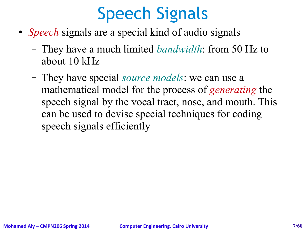# Speech Signals

- *Speech* signals are a special kind of audio signals
	- They have a much limited *bandwidth*: from 50 Hz to about 10 kHz
	- They have special *source models*: we can use a mathematical model for the process of *generating* the speech signal by the vocal tract, nose, and mouth. This can be used to devise special techniques for coding speech signals efficiently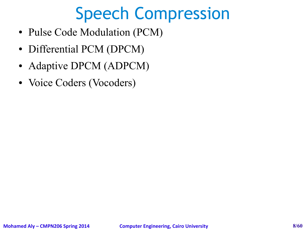# Speech Compression

- Pulse Code Modulation (PCM)
- Differential PCM (DPCM)
- Adaptive DPCM (ADPCM)
- Voice Coders (Vocoders)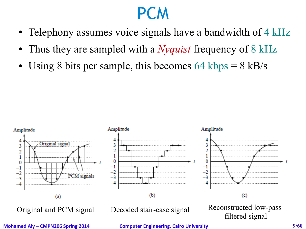#### PCM

- Telephony assumes voice signals have a bandwidth of 4 kHz
- Thus they are sampled with a *Nyquist* frequency of 8 kHz
- Using 8 bits per sample, this becomes 64 kbps  $= 8$  kB/s



**Mohamed Aly – CMPN206 Spring 2014 Computer Engineering, Cairo University 9/60**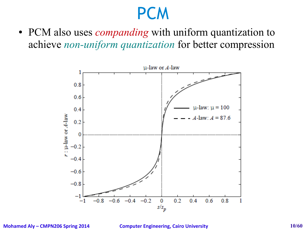#### **PCM**

• PCM also uses *companding* with uniform quantization to achieve *non-uniform quantization* for better compression



**Mohamed Aly – CMPN206 Spring 2014 Computer Engineering, Cairo University 10/60**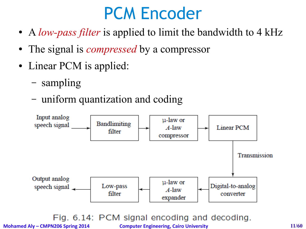#### PCM Encoder

- A *low-pass filter* is applied to limit the bandwidth to 4 kHz
- The signal is *compressed* by a compressor
- Linear PCM is applied:
	- sampling
	- uniform quantization and coding



Fig. 6.14: PCM signal encoding and decoding.

**Mohamed Aly – CMPN206 Spring 2014 Computer Engineering, Cairo University 11/60**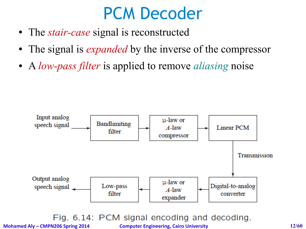#### PCM Decoder

- The *stair-case* signal is reconstructed
- The signal is *expanded* by the inverse of the compressor
- A *low-pass filter* is applied to remove *aliasing* noise



Fig. 6.14: PCM signal encoding and decoding.

**Mohamed Aly – CMPN206 Spring 2014 Computer Engineering, Cairo University 12/60**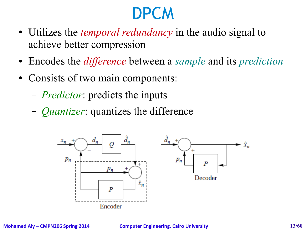# **DPCM**

- Utilizes the *temporal redundancy* in the audio signal to achieve better compression
- Encodes the *difference* between a *sample* and its *prediction*
- Consists of two main components:
	- *Predictor*: predicts the inputs
	- *Quantizer*: quantizes the difference

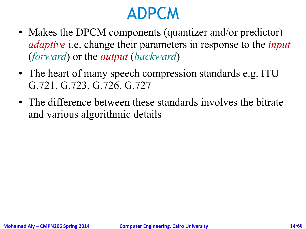#### ADPCM

- Makes the DPCM components (quantizer and/or predictor) *adaptive* i.e. change their parameters in response to the *input* (*forward*) or the *output* (*backward*)
- The heart of many speech compression standards e.g. ITU G.721, G.723, G.726, G.727
- The difference between these standards involves the bitrate and various algorithmic details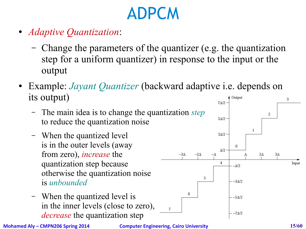# ADPCM

- *Adaptive Quantization*:
	- Change the parameters of the quantizer (e.g. the quantization step for a uniform quantizer) in response to the input or the output
- Example: *Jayant Quantizer* (backward adaptive *i.e.* depends on its output) Output  $7N2$ 
	- The main idea is to change the quantization *step* to reduce the quantization noise
	- When the quantized level is in the outer levels (away from zero), *increase* the quantization step because otherwise the quantization noise is *unbounded*
	- When the quantized level is in the inner levels (close to zero), *decrease* the quantization step



 $\overline{7}$ 

 $-3\Delta$ 

 $6\phantom{.}6$ 

 $-2\Delta$ 

5

Input

3

 $\overline{c}$ 

 $\mathbf{1}$ 

 $2\Delta$ 

 $3\Delta$ 

 $5N^2$ 

 $3\Delta/2$  -

 $\Delta/2$ 

 $\overline{4}$ 

 $-\Delta$ 

 $\mathbf{0}$ 

 $-\Delta/2$ 

 $-3\Delta/2$ 

 $-5\Delta/2$ 

 $-7\Delta/2$ 

٨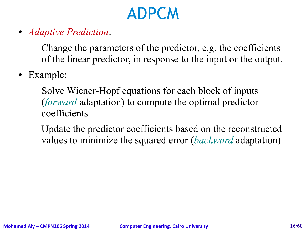# ADPCM

- *Adaptive Prediction*:
	- Change the parameters of the predictor, e.g. the coefficients of the linear predictor, in response to the input or the output.
- Example:
	- Solve Wiener-Hopf equations for each block of inputs (*forward* adaptation) to compute the optimal predictor coefficients
	- Update the predictor coefficients based on the reconstructed values to minimize the squared error (*backward* adaptation)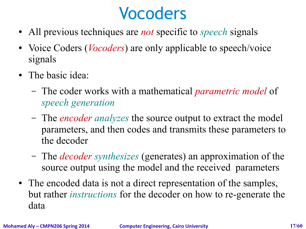#### Vocoders

- All previous techniques are *not* specific to *speech* signals
- Voice Coders (*Vocoders*) are only applicable to speech/voice signals
- The basic idea:
	- The coder works with a mathematical *parametric model* of *speech generation*
	- The *encoder analyzes* the source output to extract the model parameters, and then codes and transmits these parameters to the decoder
	- The *decoder synthesizes* (generates) an approximation of the source output using the model and the received parameters
- The encoded data is not a direct representation of the samples, but rather *instructions* for the decoder on how to re-generate the data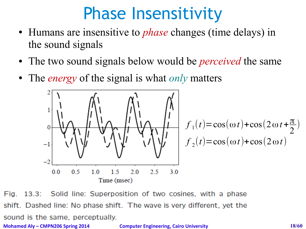# Phase Insensitivity

- Humans are insensitive to *phase* changes (time delays) in the sound signals
- The two sound signals below would be *perceived* the same
- The *energy* of the signal is what *only* matters



Fig.  $13.3:$ Solid line: Superposition of two cosines, with a phase shift. Dashed line: No phase shift. The wave is very different, yet the sound is the same, perceptually. **Mohamed Aly – CMPN206 Spring 2014 Computer Engineering, Cairo University 18/60**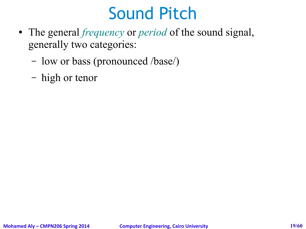# Sound Pitch

- The general *frequency* or *period* of the sound signal, generally two categories:
	- low or bass (pronounced /base/)
	- high or tenor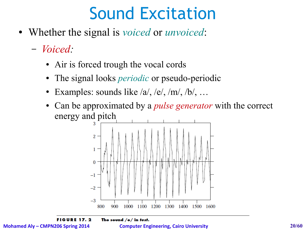# Sound Excitation

- Whether the signal is *voiced* or *unvoiced*:
	- *Voiced:* 
		- Air is forced trough the vocal cords
		- The signal looks *periodic* or pseudo-periodic
		- Examples: sounds like  $/a$ ,  $/e$ ,  $/m$ ,  $/b$ , ...
		- Can be approximated by a *pulse generator* with the correct energy and pitch



The sound  $/e/$  in test.

**Mohamed Aly – CMPN206 Spring 2014 Computer Engineering, Cairo University 20/60**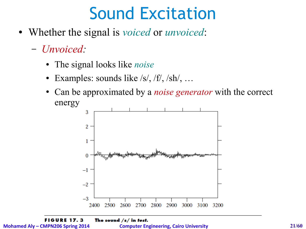# Sound Excitation

- Whether the signal is *voiced* or *unvoiced*:
	- *Unvoiced:* 
		- The signal looks like *noise*
		- Examples: sounds like  $/s/$ ,  $/f/$ ,  $/sh/$ , ...
		- Can be approximated by a *noise generator* with the correct energy

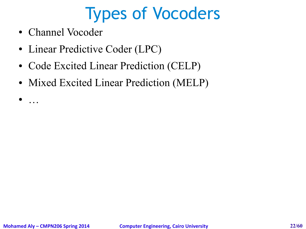# Types of Vocoders

- Channel Vocoder
- Linear Predictive Coder (LPC)
- Code Excited Linear Prediction (CELP)
- Mixed Excited Linear Prediction (MELP)

● …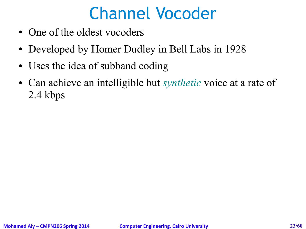# Channel Vocoder

- One of the oldest vocoders
- Developed by Homer Dudley in Bell Labs in 1928
- Uses the idea of subband coding
- Can achieve an intelligible but *synthetic* voice at a rate of 2.4 kbps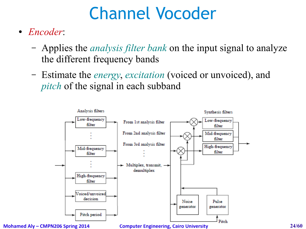# Channel Vocoder

- *Encoder*:
	- Applies the *analysis filter bank* on the input signal to analyze the different frequency bands
	- Estimate the *energy*, *excitation* (voiced or unvoiced), and *pitch* of the signal in each subband



**Mohamed Aly – CMPN206 Spring 2014 Computer Engineering, Cairo University 24/60**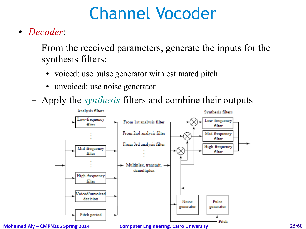# Channel Vocoder

- *Decoder*:
	- From the received parameters, generate the inputs for the synthesis filters:
		- voiced: use pulse generator with estimated pitch
		- unvoiced: use noise generator
	- Apply the *synthesis* filters and combine their outputs



**Mohamed Aly – CMPN206 Spring 2014 Computer Engineering, Cairo University 25/60**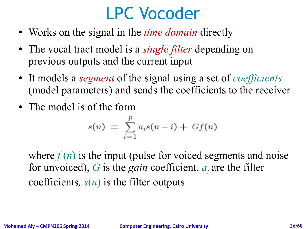#### LPC Vocoder

- Works on the signal in the *time domain* directly
- The vocal tract model is a *single filter* depending on previous outputs and the current input
- It models a *segment* of the signal using a set of *coefficients* (model parameters) and sends the coefficients to the receiver
- The model is of the form

$$
s(n) = \sum_{i=1}^{p} a_i s(n-i) + Gf(n)
$$

where  $f(n)$  is the input (pulse for voiced segments and noise for unvoiced), G is the *gain* coefficient,  $a_i$  are the filter coefficients*, s*(*n*) is the filter outputs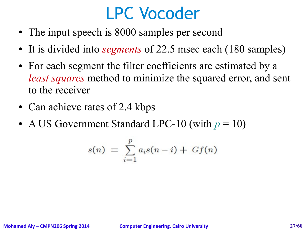#### LPC Vocoder

- The input speech is 8000 samples per second
- It is divided into *segments* of 22.5 msec each (180 samples)
- For each segment the filter coefficients are estimated by a *least squares* method to minimize the squared error, and sent to the receiver
- Can achieve rates of 2.4 kbps
- A US Government Standard LPC-10 (with  $p = 10$ )

$$
s(n) = \sum_{i=1}^{p} a_i s(n-i) + Gf(n)
$$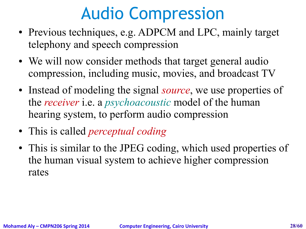# Audio Compression

- Previous techniques, e.g. ADPCM and LPC, mainly target telephony and speech compression
- We will now consider methods that target general audio compression, including music, movies, and broadcast TV
- Instead of modeling the signal *source*, we use properties of the *receiver* i.e. a *psychoacoustic* model of the human hearing system, to perform audio compression
- This is called *perceptual coding*
- This is similar to the JPEG coding, which used properties of the human visual system to achieve higher compression rates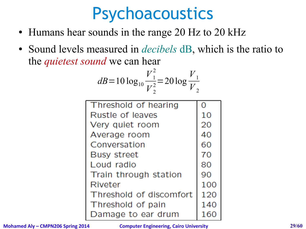#### Psychoacoustics

- Humans hear sounds in the range 20 Hz to 20 kHz
- Sound levels measured in *decibels* dB, which is the ratio to the *quietest sound* we can hear

$$
dB = 10 \log_{10} \frac{V_1^2}{V_2^2} = 20 \log \frac{V_1}{V_2}
$$

| Threshold of hearing    |     |
|-------------------------|-----|
| Rustle of leaves        | 10  |
| Very quiet room         | 20  |
| Average room            | 40  |
| Conversation            | 60  |
| <b>Busy street</b>      | 70  |
| Loud radio              | 80  |
| Train through station   | 90  |
| Riveter                 | 100 |
| Threshold of discomfort | 120 |
| Threshold of pain       | 140 |
| Damage to ear drum      |     |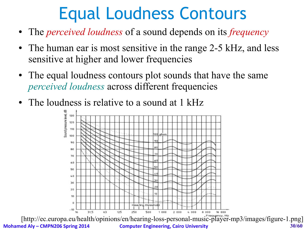# Equal Loudness Contours

- The *perceived loudness* of a sound depends on its *frequency*
- The human ear is most sensitive in the range 2-5 kHz, and less sensitive at higher and lower frequencies
- The equal loudness contours plot sounds that have the same *perceived loudness* across different frequencies
- The loudness is relative to a sound at 1 kHz

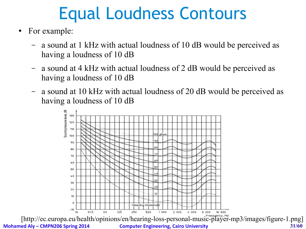# Equal Loudness Contours

- For example:
	- a sound at 1 kHz with actual loudness of 10 dB would be perceived as having a loudness of 10 dB
	- a sound at 4 kHz with actual loudness of 2 dB would be perceived as having a loudness of 10 dB
	- a sound at 10 kHz with actual loudness of 20 dB would be perceived as having a loudness of 10 dB

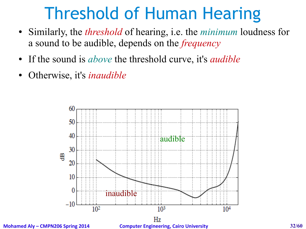# Threshold of Human Hearing

- Similarly, the *threshold* of hearing, i.e. the *minimum* loudness for a sound to be audible, depends on the *frequency*
- If the sound is *above* the threshold curve, it's *audible*
- Otherwise, it's *inaudible*



**Mohamed Aly – CMPN206 Spring 2014 Computer Engineering, Cairo University 32/60**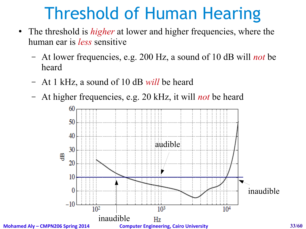# Threshold of Human Hearing

- The threshold is *higher* at lower and higher frequencies, where the human ear is *less* sensitive
	- At lower frequencies, e.g. 200 Hz, a sound of 10 dB will *not* be heard
	- At 1 kHz, a sound of 10 dB *will* be heard
	- At higher frequencies, e.g. 20 kHz, it will *not* be heard

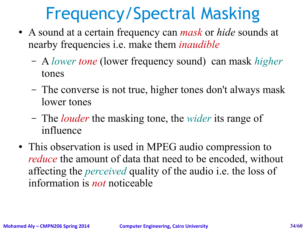# Frequency/Spectral Masking

- A sound at a certain frequency can *mask* or *hide* sounds at nearby frequencies i.e. make them *inaudible*
	- A *lower tone* (lower frequency sound) can mask *higher* tones
	- The converse is not true, higher tones don't always mask lower tones
	- The *louder* the masking tone, the *wider* its range of influence
- This observation is used in MPEG audio compression to *reduce* the amount of data that need to be encoded, without affecting the *perceived* quality of the audio i.e. the loss of information is *not* noticeable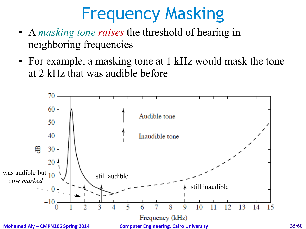# Frequency Masking

- A *masking tone raises* the threshold of hearing in neighboring frequencies
- For example, a masking tone at 1 kHz would mask the tone at 2 kHz that was audible before

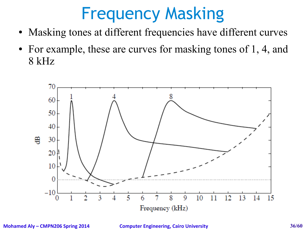# Frequency Masking

- Masking tones at different frequencies have different curves
- For example, these are curves for masking tones of 1, 4, and 8 kHz

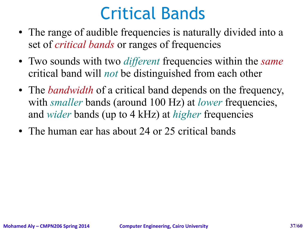#### Critical Bands

- The range of audible frequencies is naturally divided into a set of *critical bands* or ranges of frequencies
- Two sounds with two *different* frequencies within the *same* critical band will *not* be distinguished from each other
- The *bandwidth* of a critical band depends on the frequency, with *smaller* bands (around 100 Hz) at *lower* frequencies, and *wider* bands (up to 4 kHz) at *higher* frequencies
- The human ear has about 24 or 25 critical bands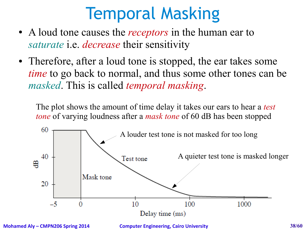# Temporal Masking

- A loud tone causes the *receptors* in the human ear to *saturate* i.e. *decrease* their sensitivity
- Therefore, after a loud tone is stopped, the ear takes some *time* to go back to normal, and thus some other tones can be *masked*. This is called *temporal masking*.

The plot shows the amount of time delay it takes our ears to hear a *test tone* of varying loudness after a *mask tone* of 60 dB has been stopped



**Mohamed Aly – CMPN206 Spring 2014 Computer Engineering, Cairo University 38/60**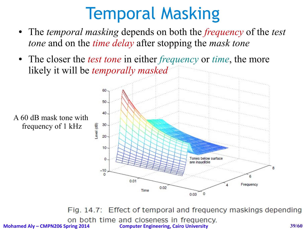# Temporal Masking

- The *temporal masking* depends on both the *frequency* of the *test tone* and on the *time delay* after stopping the *mask tone*
- The closer the *test tone* in either *frequency* or *time*, the more likely it will be *temporally masked*

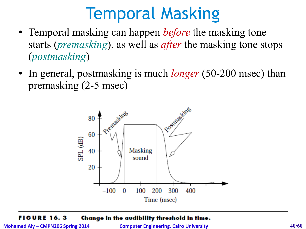#### Temporal Masking

- Temporal masking can happen *before* the masking tone starts (*premasking*), as well as *after* the masking tone stops (*postmasking*)
- In general, postmasking is much *longer* (50-200 msec) than premasking (2-5 msec)



#### **FIGURE 16.3** Change in the audibility threshold in time.

**Mohamed Aly – CMPN206 Spring 2014 Computer Engineering, Cairo University 40/60**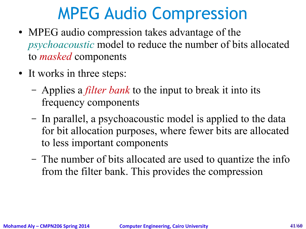# MPEG Audio Compression

- MPEG audio compression takes advantage of the *psychoacoustic* model to reduce the number of bits allocated to *masked* components
- It works in three steps:
	- Applies a *filter bank* to the input to break it into its frequency components
	- In parallel, a psychoacoustic model is applied to the data for bit allocation purposes, where fewer bits are allocated to less important components
	- The number of bits allocated are used to quantize the info from the filter bank. This provides the compression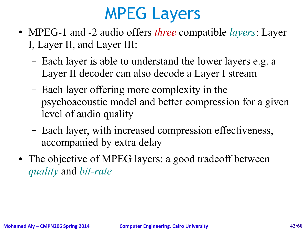### MPEG Layers

- MPEG-1 and -2 audio offers *three* compatible *layers*: Layer I, Layer II, and Layer III:
	- Each layer is able to understand the lower layers e.g. a Layer II decoder can also decode a Layer I stream
	- Each layer offering more complexity in the psychoacoustic model and better compression for a given level of audio quality
	- Each layer, with increased compression effectiveness, accompanied by extra delay
- The objective of MPEG layers: a good tradeoff between *quality* and *bit-rate*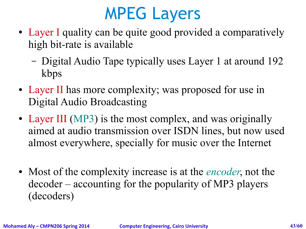# MPEG Layers

- Layer I quality can be quite good provided a comparatively high bit-rate is available
	- Digital Audio Tape typically uses Layer 1 at around 192 kbps
- Layer II has more complexity; was proposed for use in Digital Audio Broadcasting
- Layer III (MP3) is the most complex, and was originally aimed at audio transmission over ISDN lines, but now used almost everywhere, specially for music over the Internet
- Most of the complexity increase is at the *encoder*, not the decoder – accounting for the popularity of MP3 players (decoders)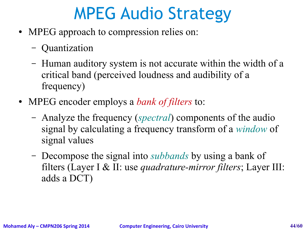# MPEG Audio Strategy

- MPEG approach to compression relies on:
	- Quantization
	- Human auditory system is not accurate within the width of a critical band (perceived loudness and audibility of a frequency)
- MPEG encoder employs a *bank of filters* to:
	- Analyze the frequency (*spectral*) components of the audio signal by calculating a frequency transform of a *window* of signal values
	- Decompose the signal into *subbands* by using a bank of filters (Layer I & II: use *quadrature-mirror filters*; Layer III: adds a DCT)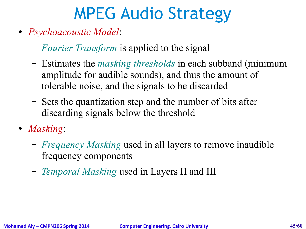# MPEG Audio Strategy

- *Psychoacoustic Model*:
	- *Fourier Transform* is applied to the signal
	- Estimates the *masking thresholds* in each subband (minimum amplitude for audible sounds), and thus the amount of tolerable noise, and the signals to be discarded
	- Sets the quantization step and the number of bits after discarding signals below the threshold
- *Masking*:
	- *Frequency Masking* used in all layers to remove inaudible frequency components
	- *Temporal Masking* used in Layers II and III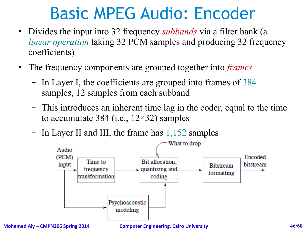- Divides the input into 32 frequency *subbands* via a filter bank (a *linear operation* taking 32 PCM samples and producing 32 frequency coefficients)
- The frequency components are grouped together into *frames* 
	- In Layer I, the coefficients are grouped into frames of 384 samples, 12 samples from each subband
	- This introduces an inherent time lag in the coder, equal to the time to accumulate 384 (i.e.,  $12\times32$ ) samples
	- In Layer II and III, the frame has 1,152 samples

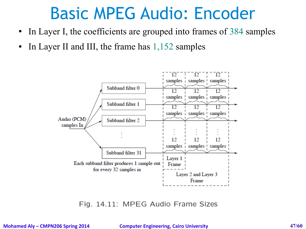- In Layer I, the coefficients are grouped into frames of 384 samples
- In Layer II and III, the frame has  $1,152$  samples



Fig. 14.11: MPEG Audio Frame Sizes

**Mohamed Aly – CMPN206 Spring 2014 Computer Engineering, Cairo University 47/60**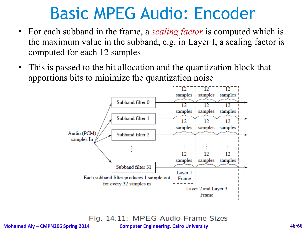- For each subband in the frame, a *scaling factor* is computed which is the maximum value in the subband, e.g. in Layer I, a scaling factor is computed for each 12 samples
- This is passed to the bit allocation and the quantization block that apportions bits to minimize the quantization noise



Fig. 14.11: MPEG Audio Frame Sizes

**Mohamed Aly – CMPN206 Spring 2014 Computer Engineering, Cairo University 48/60**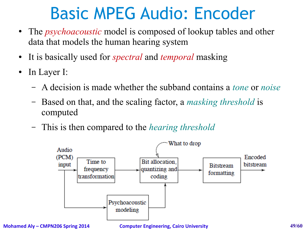- The *psychoacoustic* model is composed of lookup tables and other data that models the human hearing system
- It is basically used for *spectral* and *temporal* masking
- In Layer I:
	- A decision is made whether the subband contains a *tone* or *noise*
	- Based on that, and the scaling factor, a *masking threshold* is computed
	- This is then compared to the *hearing threshold*



**Mohamed Aly – CMPN206 Spring 2014 Computer Engineering, Cairo University 49/60**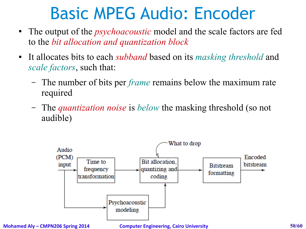- The output of the *psychoacoustic* model and the scale factors are fed to the *bit allocation and quantization block*
- It allocates bits to each *subband* based on its *masking threshold* and *scale factors*, such that:
	- The number of bits per *frame* remains below the maximum rate required
	- The *quantization noise* is *below* the masking threshold (so not audible)

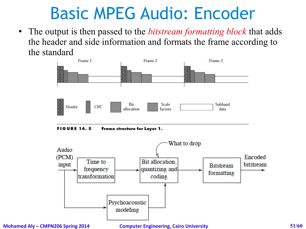• The output is then passed to the *bitstream formatting block* that adds the header and side information and formats the frame according to the standard



**FIGURE 16.5** Frame structure for Layer 1.

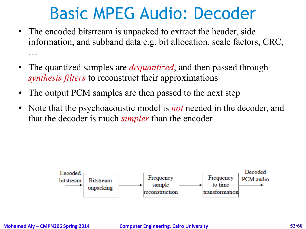- The encoded bitstream is unpacked to extract the header, side information, and subband data e.g. bit allocation, scale factors, CRC, …
- The quantized samples are *dequantized*, and then passed through *synthesis filters* to reconstruct their approximations
- The output PCM samples are then passed to the next step
- Note that the psychoacoustic model is *not* needed in the decoder, and that the decoder is much *simpler* than the encoder

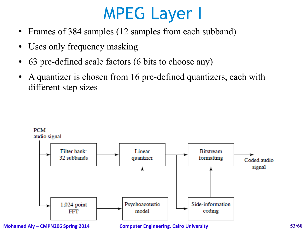# MPEG Layer I

- Frames of 384 samples (12 samples from each subband)
- Uses only frequency masking
- 63 pre-defined scale factors (6 bits to choose any)
- A quantizer is chosen from 16 pre-defined quantizers, each with different step sizes



**Mohamed Aly – CMPN206 Spring 2014 Computer Engineering, Cairo University 53/60**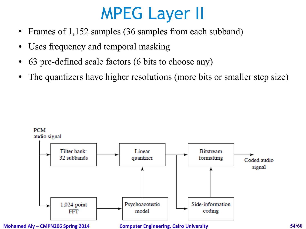# MPEG Layer II

- Frames of 1,152 samples (36 samples from each subband)
- Uses frequency and temporal masking
- 63 pre-defined scale factors (6 bits to choose any)
- The quantizers have higher resolutions (more bits or smaller step size)



**Mohamed Aly – CMPN206 Spring 2014 Computer Engineering, Cairo University 54/60**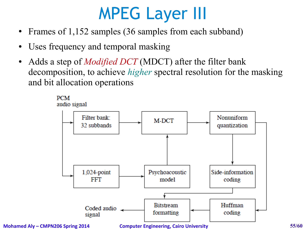# MPEG Layer III

- Frames of 1,152 samples (36 samples from each subband)
- Uses frequency and temporal masking
- Adds a step of *Modified DCT* (MDCT) after the filter bank decomposition, to achieve *higher* spectral resolution for the masking and bit allocation operations

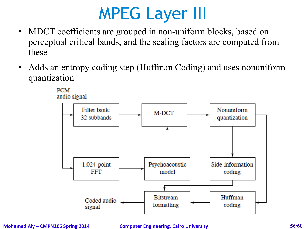# MPEG Layer III

- MDCT coefficients are grouped in non-uniform blocks, based on perceptual critical bands, and the scaling factors are computed from these
- Adds an entropy coding step (Huffman Coding) and uses nonuniform quantization



**PCM** 

**Mohamed Aly – CMPN206 Spring 2014 Computer Engineering, Cairo University 56/60**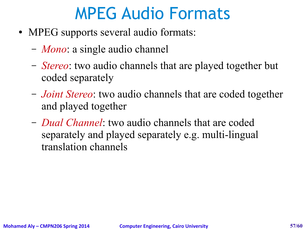# MPEG Audio Formats

- MPEG supports several audio formats:
	- *Mono*: a single audio channel
	- *Stereo*: two audio channels that are played together but coded separately
	- *Joint Stereo*: two audio channels that are coded together and played together
	- *Dual Channel*: two audio channels that are coded separately and played separately e.g. multi-lingual translation channels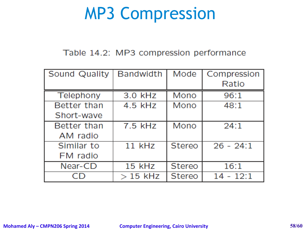#### MP3 Compression

#### Table 14.2: MP3 compression performance

| <b>Sound Quality</b> | <b>Bandwidth</b> | Mode          | Compression |
|----------------------|------------------|---------------|-------------|
|                      |                  |               | Ratio       |
| Telephony            | 3.0 kHz          | Mono          | 96:1        |
| Better than          | 4.5 kHz          | Mono          | 48:1        |
| Short-wave           |                  |               |             |
| Better than          | $7.5$ kHz        | Mono          | 24:1        |
| AM radio             |                  |               |             |
| Similar to           | 11 kHz           | Stereo        | $26 - 24:1$ |
| FM radio             |                  |               |             |
| Near-CD              | 15 kHz           | <b>Stereo</b> | 16:1        |
|                      | $>15$ kHz        | <b>Stereo</b> | $14 - 12:1$ |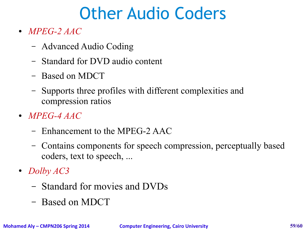# Other Audio Coders

- *MPEG-2 AAC*
	- Advanced Audio Coding
	- Standard for DVD audio content
	- Based on MDCT
	- Supports three profiles with different complexities and compression ratios
- *MPEG-4 AAC*
	- Enhancement to the MPEG-2 AAC
	- Contains components for speech compression, perceptually based coders, text to speech, ...
- *Dolby AC3*
	- Standard for movies and DVDs
	- Based on MDCT